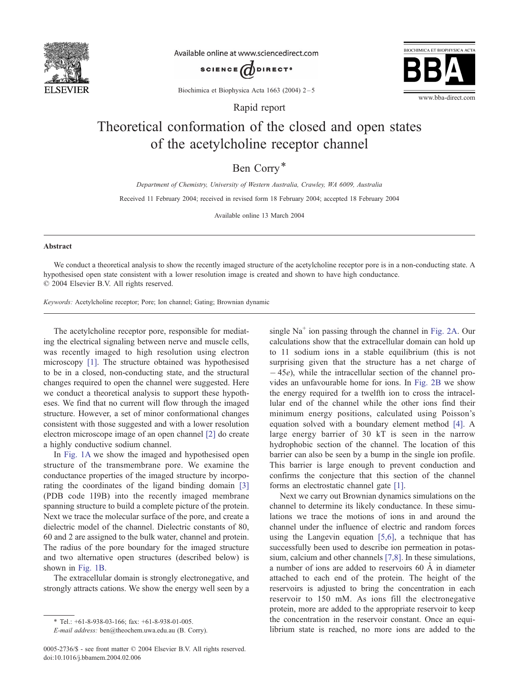

Available online at www.sciencedirect.com





Biochimica et Biophysica Acta 1663 (2004) 2-5

Rapid report

## Theoretical conformation of the closed and open states of the acetylcholine receptor channel

Ben Corry\*

Department of Chemistry, University of Western Australia, Crawley, WA 6009, Australia

Received 11 February 2004; received in revised form 18 February 2004; accepted 18 February 2004

Available online 13 March 2004

## Abstract

We conduct a theoretical analysis to show the recently imaged structure of the acetylcholine receptor pore is in a non-conducting state. A hypothesised open state consistent with a lower resolution image is created and shown to have high conductance.  $© 2004 Elsevier B.V. All rights reserved.$ 

Keywords: Acetylcholine receptor; Pore; Ion channel; Gating; Brownian dynamic

The acetylcholine receptor pore, responsible for mediating the electrical signaling between nerve and muscle cells, was recently imaged to high resolution using electron microscopy [\[1\].](#page-3-0) The structure obtained was hypothesised to be in a closed, non-conducting state, and the structural changes required to open the channel were suggested. Here we conduct a theoretical analysis to support these hypotheses. We find that no current will flow through the imaged structure. However, a set of minor conformational changes consistent with those suggested and with a lower resolution electron microscope image of an open channel [\[2\]](#page-3-0) do create a highly conductive sodium channel.

In [Fig. 1A](#page-1-0) we show the imaged and hypothesised open structure of the transmembrane pore. We examine the conductance properties of the imaged structure by incorporating the coordinates of the ligand binding domain [\[3\]](#page-3-0) (PDB code 1I9B) into the recently imaged membrane spanning structure to build a complete picture of the protein. Next we trace the molecular surface of the pore, and create a dielectric model of the channel. Dielectric constants of 80, 60 and 2 are assigned to the bulk water, channel and protein. The radius of the pore boundary for the imaged structure and two alternative open structures (described below) is shown in [Fig. 1B.](#page-1-0)

The extracellular domain is strongly electronegative, and strongly attracts cations. We show the energy well seen by a single  $Na<sup>+</sup>$  ion passing through the channel in [Fig. 2A.](#page-1-0) Our calculations show that the extracellular domain can hold up to 11 sodium ions in a stable equilibrium (this is not surprising given that the structure has a net charge of  $-45e$ ), while the intracellular section of the channel provides an unfavourable home for ions. In [Fig. 2B](#page-1-0) we show the energy required for a twelfth ion to cross the intracellular end of the channel while the other ions find their minimum energy positions, calculated using Poisson's equation solved with a boundary element method [\[4\].](#page-3-0) A large energy barrier of 30 kT is seen in the narrow hydrophobic section of the channel. The location of this barrier can also be seen by a bump in the single ion profile. This barrier is large enough to prevent conduction and confirms the conjecture that this section of the channel forms an electrostatic channel gate [\[1\].](#page-3-0)

Next we carry out Brownian dynamics simulations on the channel to determine its likely conductance. In these simulations we trace the motions of ions in and around the channel under the influence of electric and random forces using the Langevin equation [\[5,6\],](#page-3-0) a technique that has successfully been used to describe ion permeation in potassium, calcium and other channels [\[7,8\].](#page-3-0) In these simulations, a number of ions are added to reservoirs  $60 \text{ Å}$  in diameter attached to each end of the protein. The height of the reservoirs is adjusted to bring the concentration in each reservoir to 150 mM. As ions fill the electronegative protein, more are added to the appropriate reservoir to keep the concentration in the reservoir constant. Once an equilibrium state is reached, no more ions are added to the

<sup>\*</sup> Tel.:  $+61-8-938-03-166$ ; fax:  $+61-8-938-01-005$ .

E-mail address: ben@theochem.uwa.edu.au (B. Corry).

<sup>0005-2736/\$ -</sup> see front matter © 2004 Elsevier B.V. All rights reserved. doi:10.1016/j.bbamem.2004.02.006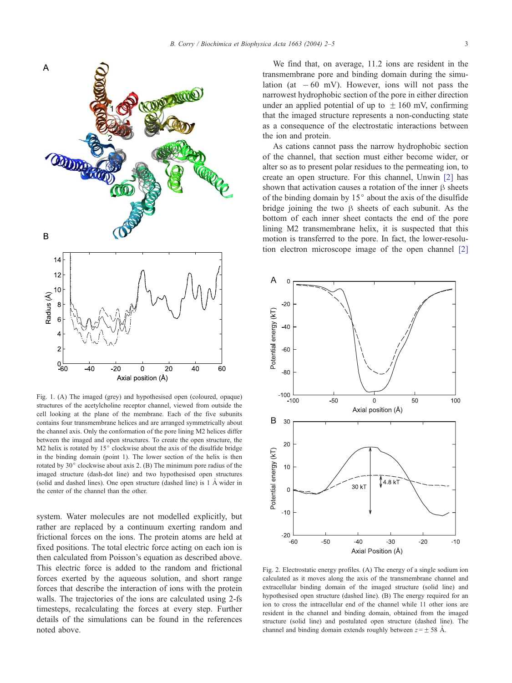

<span id="page-1-0"></span>

Fig. 1. (A) The imaged (grey) and hypothesised open (coloured, opaque) structures of the acetylcholine receptor channel, viewed from outside the cell looking at the plane of the membrane. Each of the five subunits contains four transmembrane helices and are arranged symmetrically about the channel axis. Only the conformation of the pore lining M2 helices differ between the imaged and open structures. To create the open structure, the M2 helix is rotated by  $15^{\circ}$  clockwise about the axis of the disulfide bridge in the binding domain (point 1). The lower section of the helix is then rotated by  $30^{\circ}$  clockwise about axis 2. (B) The minimum pore radius of the imaged structure (dash-dot line) and two hypothesised open structures (solid and dashed lines). One open structure (dashed line) is  $1 \text{ Å}$  wider in the center of the channel than the other.

system. Water molecules are not modelled explicitly, but rather are replaced by a continuum exerting random and frictional forces on the ions. The protein atoms are held at fixed positions. The total electric force acting on each ion is then calculated from Poisson's equation as described above. This electric force is added to the random and frictional forces exerted by the aqueous solution, and short range forces that describe the interaction of ions with the protein walls. The trajectories of the ions are calculated using 2-fs timesteps, recalculating the forces at every step. Further details of the simulations can be found in the references noted above.

We find that, on average, 11.2 ions are resident in the transmembrane pore and binding domain during the simulation (at  $-60$  mV). However, ions will not pass the narrowest hydrophobic section of the pore in either direction under an applied potential of up to  $\pm 160$  mV, confirming that the imaged structure represents a non-conducting state as a consequence of the electrostatic interactions between the ion and protein.

As cations cannot pass the narrow hydrophobic section of the channel, that section must either become wider, or alter so as to present polar residues to the permeating ion, to create an open structure. For this channel, Unwin [\[2\]](#page-3-0) has shown that activation causes a rotation of the inner  $\beta$  sheets of the binding domain by  $15^{\circ}$  about the axis of the disulfide bridge joining the two  $\beta$  sheets of each subunit. As the bottom of each inner sheet contacts the end of the pore lining M2 transmembrane helix, it is suspected that this motion is transferred to the pore. In fact, the lower-resolution electron microscope image of the open channel [\[2\]](#page-3-0)



Fig. 2. Electrostatic energy profiles. (A) The energy of a single sodium ion calculated as it moves along the axis of the transmembrane channel and extracellular binding domain of the imaged structure (solid line) and hypothesised open structure (dashed line). (B) The energy required for an ion to cross the intracellular end of the channel while 11 other ions are resident in the channel and binding domain, obtained from the imaged structure (solid line) and postulated open structure (dashed line). The channel and binding domain extends roughly between  $z = \pm 58$  Å.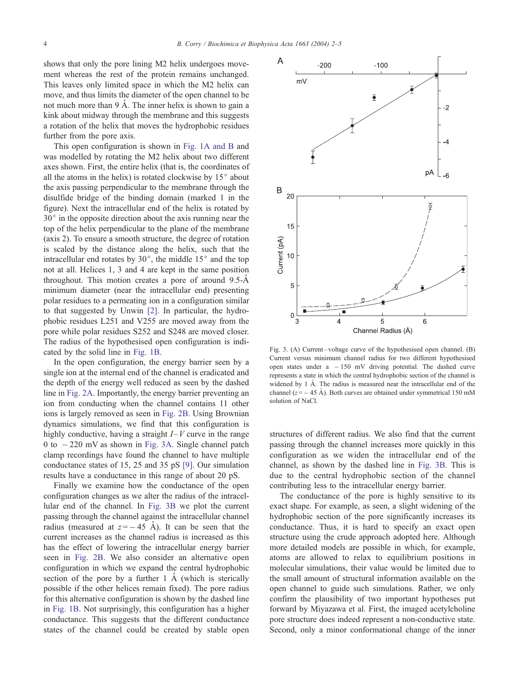shows that only the pore lining M2 helix undergoes movement whereas the rest of the protein remains unchanged. This leaves only limited space in which the M2 helix can move, and thus limits the diameter of the open channel to be not much more than  $9 \text{ Å}$ . The inner helix is shown to gain a kink about midway through the membrane and this suggests a rotation of the helix that moves the hydrophobic residues further from the pore axis.

This open configuration is shown in [Fig. 1A and B](#page-1-0) and was modelled by rotating the M2 helix about two different axes shown. First, the entire helix (that is, the coordinates of all the atoms in the helix) is rotated clockwise by  $15^{\circ}$  about the axis passing perpendicular to the membrane through the disulfide bridge of the binding domain (marked 1 in the figure). Next the intracellular end of the helix is rotated by  $30^\circ$  in the opposite direction about the axis running near the top of the helix perpendicular to the plane of the membrane (axis 2). To ensure a smooth structure, the degree of rotation is scaled by the distance along the helix, such that the intracellular end rotates by  $30^{\circ}$ , the middle  $15^{\circ}$  and the top not at all. Helices 1, 3 and 4 are kept in the same position throughout. This motion creates a pore of around  $9.5-\text{\AA}$ minimum diameter (near the intracellular end) presenting polar residues to a permeating ion in a configuration similar to that suggested by Unwin [\[2\].](#page-3-0) In particular, the hydrophobic residues L251 and V255 are moved away from the pore while polar residues S252 and S248 are moved closer. The radius of the hypothesised open configuration is indicated by the solid line in [Fig. 1B.](#page-1-0)

In the open configuration, the energy barrier seen by a single ion at the internal end of the channel is eradicated and the depth of the energy well reduced as seen by the dashed line in [Fig. 2A.](#page-1-0) Importantly, the energy barrier preventing an ion from conducting when the channel contains 11 other ions is largely removed as seen in [Fig. 2B.](#page-1-0) Using Brownian dynamics simulations, we find that this configuration is highly conductive, having a straight  $I-V$  curve in the range 0 to  $-220$  mV as shown in Fig. 3A. Single channel patch clamp recordings have found the channel to have multiple conductance states of 15, 25 and 35 pS [\[9\].](#page-3-0) Our simulation results have a conductance in this range of about 20 pS.

Finally we examine how the conductance of the open configuration changes as we alter the radius of the intracellular end of the channel. In Fig. 3B we plot the current passing through the channel against the intracellular channel radius (measured at  $z = -45$  Å). It can be seen that the current increases as the channel radius is increased as this has the effect of lowering the intracellular energy barrier seen in [Fig. 2B.](#page-1-0) We also consider an alternative open configuration in which we expand the central hydrophobic section of the pore by a further  $1 \text{ Å}$  (which is sterically possible if the other helices remain fixed). The pore radius for this alternative configuration is shown by the dashed line in [Fig. 1B.](#page-1-0) Not surprisingly, this configuration has a higher conductance. This suggests that the different conductance states of the channel could be created by stable open



Fig. 3. (A) Current-voltage curve of the hypothesised open channel. (B) Current versus minimum channel radius for two different hypothesised open states under  $a - 150$  mV driving potential. The dashed curve represents a state in which the central hydrophobic section of the channel is widened by  $1$   $\AA$ . The radius is measured near the intracellular end of the channel ( $z = -45$  Å). Both curves are obtained under symmetrical 150 mM solution of NaCl.

structures of different radius. We also find that the current passing through the channel increases more quickly in this configuration as we widen the intracellular end of the channel, as shown by the dashed line in Fig. 3B. This is due to the central hydrophobic section of the channel contributing less to the intracellular energy barrier.

The conductance of the pore is highly sensitive to its exact shape. For example, as seen, a slight widening of the hydrophobic section of the pore significantly increases its conductance. Thus, it is hard to specify an exact open structure using the crude approach adopted here. Although more detailed models are possible in which, for example, atoms are allowed to relax to equilibrium positions in molecular simulations, their value would be limited due to the small amount of structural information available on the open channel to guide such simulations. Rather, we only confirm the plausibility of two important hypotheses put forward by Miyazawa et al. First, the imaged acetylcholine pore structure does indeed represent a non-conductive state. Second, only a minor conformational change of the inner